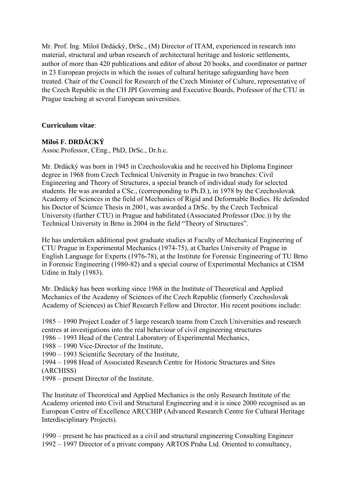Mr. Prof. Ing. Miloš Drdácký, DrSc., (M) Director of ITAM, experienced in research into material, structural and urban research of architectural heritage and historic settlements, author of more than 420 publications and editor of about 20 books, and coordinator or partner in 23 European projects in which the issues of cultural heritage safeguarding have been treated. Chair of the Council for Research of the Czech Minister of Culture, representative of the Czech Republic in the CH JPI Governing and Executive Boards, Professor of the CTU in Prague teaching at several European universities.

## **Curriculum vitae**:

### **Miloš F. DRDÁCKÝ**

Assoc.Professor, CEng., PhD, DrSc., Dr.h.c.

Mr. Drdácký was born in 1945 in Czechoslovakia and he received his Diploma Engineer degree in 1968 from Czech Technical University in Prague in two branches: Civil Engineering and Theory of Structures, a special branch of individual study for selected students. He was awarded a CSc., (corresponding to Ph.D.), in 1978 by the Czechoslovak Academy of Sciences in the field of Mechanics of Rigid and Deformable Bodies. He defended his Doctor of Science Thesis in 2001, was awarded a DrSc. by the Czech Technical University (further CTU) in Prague and habilitated (Associated Professor (Doc.)) by the Technical University in Brno in 2004 in the field "Theory of Structures".

He has undertaken additional post graduate studies at Faculty of Mechanical Engineering of CTU Prague in Experimental Mechanics (1974-75), at Charles University of Prague in English Language for Experts (1976-78), at the Institute for Forensic Engineering of TU Brno in Forensic Engineering (1980-82) and a special course of Experimental Mechanics at CISM Udine in Italy (1983).

Mr. Drdácký has been working since 1968 in the Institute of Theoretical and Applied Mechanics of the Academy of Sciences of the Czech Republic (formerly Czechoslovak Academy of Sciences) as Chief Research Fellow and Director. His recent positions include:

1985 – 1990 Project Leader of 5 large research teams from Czech Universities and research centres at investigations into the real behaviour of civil engineering structures

1986 – 1993 Head of the Central Laboratory of Experimental Mechanics,

1988 – 1990 Vice-Director of the Institute,

1990 – 1993 Scientific Secretary of the Institute,

1994 – 1998 Head of Associated Research Centre for Historic Structures and Sites (ARCHISS)

1998 – present Director of the Institute.

The Institute of Theoretical and Applied Mechanics is the only Research Institute of the Academy oriented into Civil and Structural Engineering and it is since 2000 recognised as an European Centre of Excellence ARCCHIP (Advanced Research Centre for Cultural Heritage Interdisciplinary Projects).

1990 – present he has practiced as a civil and structural engineering Consulting Engineer 1992 – 1997 Director of a private company ARTOS Praha Ltd. Oriented to consultancy,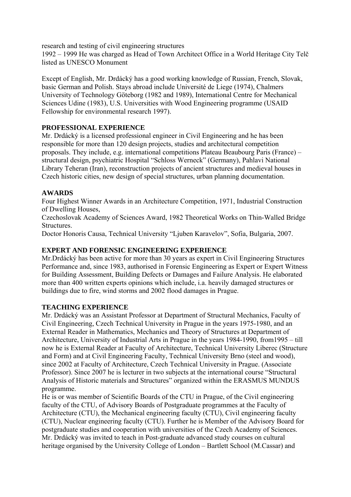research and testing of civil engineering structures

1992 – 1999 He was charged as Head of Town Architect Office in a World Heritage City Telč listed as UNESCO Monument

Except of English, Mr. Drdácký has a good working knowledge of Russian, French, Slovak, basic German and Polish. Stays abroad include Université de Liege (1974), Chalmers University of Technology Göteborg (1982 and 1989), International Centre for Mechanical Sciences Udine (1983), U.S. Universities with Wood Engineering programme (USAID Fellowship for environmental research 1997).

### **PROFESSIONAL EXPERIENCE**

Mr. Drdácký is a licensed professional engineer in Civil Engineering and he has been responsible for more than 120 design projects, studies and architectural competition proposals. They include, e.g. international competitions Plateau Beaubourg Paris (France) – structural design, psychiatric Hospital "Schloss Werneck" (Germany), Pahlavi National Library Teheran (Iran), reconstruction projects of ancient structures and medieval houses in Czech historic cities, new design of special structures, urban planning documentation.

### **AWARDS**

Four Highest Winner Awards in an Architecture Competition, 1971, Industrial Construction of Dwelling Houses,

Czechoslovak Academy of Sciences Award, 1982 Theoretical Works on Thin-Walled Bridge **Structures** 

Doctor Honoris Causa, Technical University "Ljuben Karavelov", Sofia, Bulgaria, 2007.

#### **EXPERT AND FORENSIC ENGINEERING EXPERIENCE**

Mr.Drdácký has been active for more than 30 years as expert in Civil Engineering Structures Performance and, since 1983, authorised in Forensic Engineering as Expert or Expert Witness for Building Assessment, Building Defects or Damages and Failure Analysis. He elaborated more than 400 written experts opinions which include, i.a. heavily damaged structures or buildings due to fire, wind storms and 2002 flood damages in Prague.

### **TEACHING EXPERIENCE**

Mr. Drdácký was an Assistant Professor at Department of Structural Mechanics, Faculty of Civil Engineering, Czech Technical University in Prague in the years 1975-1980, and an External Reader in Mathematics, Mechanics and Theory of Structures at Department of Architecture, University of Industrial Arts in Prague in the years 1984-1990, from1995 – till now he is External Reader at Faculty of Architecture, Technical University Liberec (Structure and Form) and at Civil Engineering Faculty, Technical University Brno (steel and wood), since 2002 at Faculty of Architecture, Czech Technical University in Prague. (Associate Professor). Since 2007 he is lecturer in two subjects at the international course "Structural Analysis of Historic materials and Structures" organized within the ERASMUS MUNDUS programme.

He is or was member of Scientific Boards of the CTU in Prague, of the Civil engineering faculty of the CTU, of Advisory Boards of Postgraduate programmes at the Faculty of Architecture (CTU), the Mechanical engineering faculty (CTU), Civil engineering faculty (CTU), Nuclear engineering faculty (CTU). Further he is Member of the Advisory Board for postgraduate studies and cooperation with universities of the Czech Academy of Sciences. Mr. Drdácký was invited to teach in Post-graduate advanced study courses on cultural heritage organised by the University College of London – Bartlett School (M.Cassar) and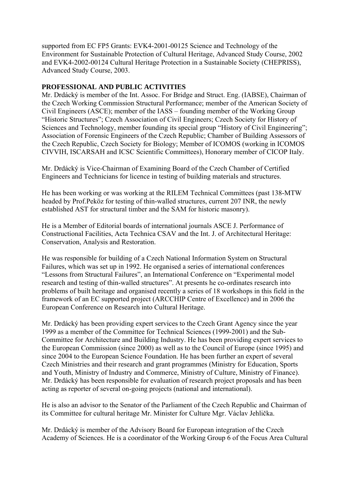supported from EC FP5 Grants: EVK4-2001-00125 Science and Technology of the Environment for Sustainable Protection of Cultural Heritage, Advanced Study Course, 2002 and EVK4-2002-00124 Cultural Heritage Protection in a Sustainable Society (CHEPRISS), Advanced Study Course, 2003.

#### **PROFESSIONAL AND PUBLIC ACTIVITIES**

Mr. Drdácký is member of the Int. Assoc. For Bridge and Struct. Eng. (IABSE), Chairman of the Czech Working Commission Structural Performance; member of the American Society of Civil Engineers (ASCE); member of the IASS – founding member of the Working Group "Historic Structures"; Czech Association of Civil Engineers; Czech Society for History of Sciences and Technology, member founding its special group "History of Civil Engineering"; Association of Forensic Engineers of the Czech Republic; Chamber of Building Assessors of the Czech Republic, Czech Society for Biology; Member of ICOMOS (working in ICOMOS CIVVIH, ISCARSAH and ICSC Scientific Committees), Honorary member of CICOP Italy.

Mr. Drdácký is Vice-Chairman of Examining Board of the Czech Chamber of Certified Engineers and Technicians for licence in testing of building materials and structures.

He has been working or was working at the RILEM Technical Committees (past 138-MTW headed by Prof.Peköz for testing of thin-walled structures, current 207 INR, the newly established AST for structural timber and the SAM for historic masonry).

He is a Member of Editorial boards of international journals ASCE J. Performance of Constructional Facilities, Acta Technica CSAV and the Int. J. of Architectural Heritage: Conservation, Analysis and Restoration.

He was responsible for building of a Czech National Information System on Structural Failures, which was set up in 1992. He organised a series of international conferences "Lessons from Structural Failures", an International Conference on "Experimental model research and testing of thin-walled structures". At presents he co-ordinates research into problems of built heritage and organised recently a series of 18 workshops in this field in the framework of an EC supported project (ARCCHIP Centre of Excellence) and in 2006 the European Conference on Research into Cultural Heritage.

Mr. Drdácký has been providing expert services to the Czech Grant Agency since the year 1999 as a member of the Committee for Technical Sciences (1999-2001) and the Sub-Committee for Architecture and Building Industry. He has been providing expert services to the European Commission (since 2000) as well as to the Council of Europe (since 1995) and since 2004 to the European Science Foundation. He has been further an expert of several Czech Ministries and their research and grant programmes (Ministry for Education, Sports and Youth, Ministry of Industry and Commerce, Ministry of Culture, Ministry of Finance). Mr. Drdácký has been responsible for evaluation of research project proposals and has been acting as reporter of several on-going projects (national and international).

He is also an advisor to the Senator of the Parliament of the Czech Republic and Chairman of its Committee for cultural heritage Mr. Minister for Culture Mgr. Václav Jehlička.

Mr. Drdácký is member of the Advisory Board for European integration of the Czech Academy of Sciences. He is a coordinator of the Working Group 6 of the Focus Area Cultural